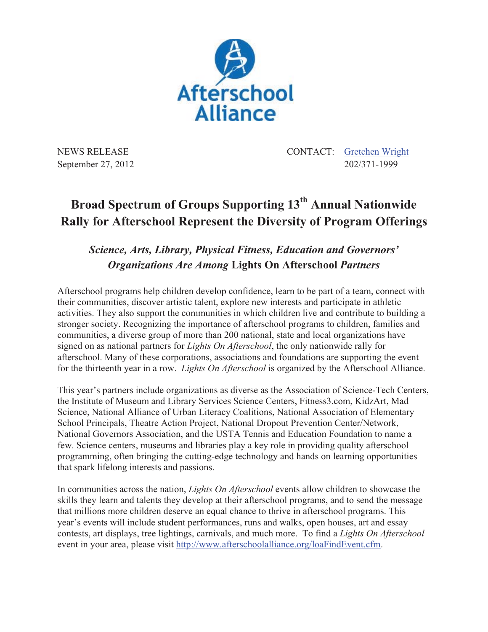

NEWS RELEASE CONTACT: Gretchen Wright September 27, 2012 202/371-1999

## **Broad Spectrum of Groups Supporting 13th Annual Nationwide Rally for Afterschool Represent the Diversity of Program Offerings**

## *Science, Arts, Library, Physical Fitness, Education and Governors' Organizations Are Among* **Lights On Afterschool** *Partners*

Afterschool programs help children develop confidence, learn to be part of a team, connect with their communities, discover artistic talent, explore new interests and participate in athletic activities. They also support the communities in which children live and contribute to building a stronger society. Recognizing the importance of afterschool programs to children, families and communities, a diverse group of more than 200 national, state and local organizations have signed on as national partners for *Lights On Afterschool*, the only nationwide rally for afterschool. Many of these corporations, associations and foundations are supporting the event for the thirteenth year in a row. *Lights On Afterschool* is organized by the Afterschool Alliance.

This year's partners include organizations as diverse as the Association of Science-Tech Centers, the Institute of Museum and Library Services Science Centers, Fitness3.com, KidzArt, Mad Science, National Alliance of Urban Literacy Coalitions, National Association of Elementary School Principals, Theatre Action Project, National Dropout Prevention Center/Network, National Governors Association, and the USTA Tennis and Education Foundation to name a few. Science centers, museums and libraries play a key role in providing quality afterschool programming, often bringing the cutting-edge technology and hands on learning opportunities that spark lifelong interests and passions.

In communities across the nation, *Lights On Afterschool* events allow children to showcase the skills they learn and talents they develop at their afterschool programs, and to send the message that millions more children deserve an equal chance to thrive in afterschool programs. This year's events will include student performances, runs and walks, open houses, art and essay contests, art displays, tree lightings, carnivals, and much more. To find a *Lights On Afterschool* event in your area, please visit http://www.afterschoolalliance.org/loaFindEvent.cfm.